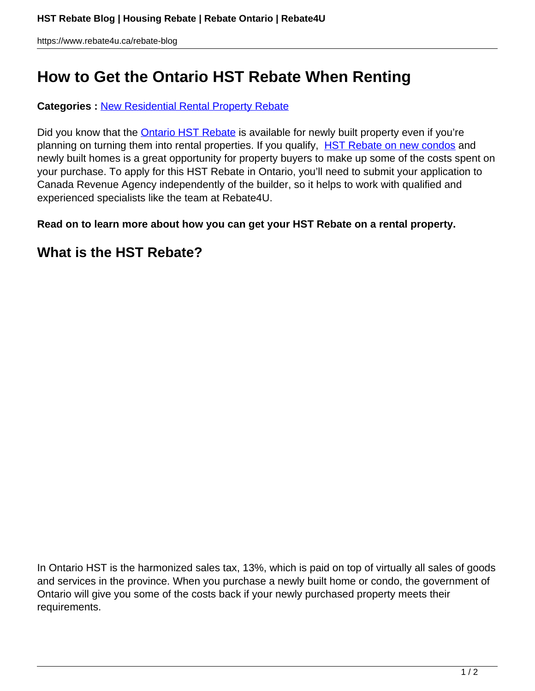# **How to Get the Ontario HST Rebate When Renting**

**Categories :** [New Residential Rental Property Rebate](https://www.rebate4u.ca/rebate-blog/category/new-residential-rental-property-rebate/)

Did you know that the **Ontario HST Rebate** is available for newly built property even if you're planning on turning them into rental properties. If you qualify, [HST Rebate on new condos](https://www.rebate4u.ca/service-hst-rebate) and newly built homes is a great opportunity for property buyers to make up some of the costs spent on your purchase. To apply for this HST Rebate in Ontario, you'll need to submit your application to Canada Revenue Agency independently of the builder, so it helps to work with qualified and experienced specialists like the team at Rebate4U.

**Read on to learn more about how you can get your HST Rebate on a rental property.** 

#### **What is the HST Rebate?**

In Ontario HST is the harmonized sales tax, 13%, which is paid on top of virtually all sales of goods and services in the province. When you purchase a newly built home or condo, the government of Ontario will give you some of the costs back if your newly purchased property meets their requirements.